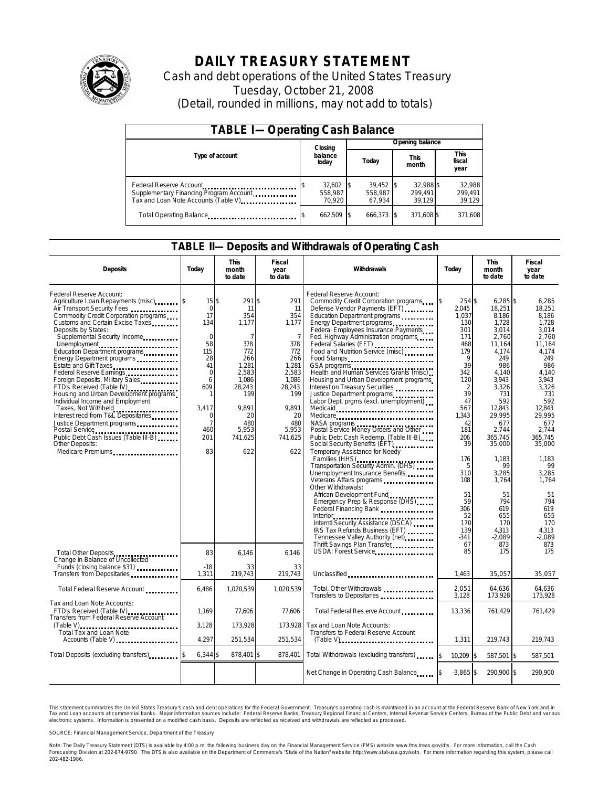

# **DAILY TREASURY STATEMENT**

Cash and debt operations of the United States Treasury Tuesday, October 21, 2008 (Detail, rounded in millions, may not add to totals)

| <b>TABLE I-Operating Cash Balance</b>                                                                      |                                  |                                  |                                |                             |  |  |  |
|------------------------------------------------------------------------------------------------------------|----------------------------------|----------------------------------|--------------------------------|-----------------------------|--|--|--|
|                                                                                                            | Closing                          | Opening balance                  |                                |                             |  |  |  |
| Type of account                                                                                            | balance<br>Today<br>today        |                                  | This<br>month                  | This<br>fiscal<br>year      |  |  |  |
| Federal Reserve Account<br>Supplementary Financing Program Account<br>Tax and Loan Note Accounts (Table V) | $32,602$ \$<br>558.987<br>70.920 | $39,452$ \$<br>558.987<br>67.934 | 32.988 \$<br>299.491<br>39.129 | 32,988<br>299,491<br>39,129 |  |  |  |
| Total Operating Balance                                                                                    | 662.509 \$                       | 666,373 \$                       | 371,608 \$                     | 371,608                     |  |  |  |

### **TABLE II—Deposits and Withdrawals of Operating Cash**

| <b>Deposits</b>                                                                                                                                                                                                                                                                                                                                                                                                                                                                                                                                                                                                                                                                                                              | Today                                                                                                                                            | <b>This</b><br>month<br>to date                                                                                                                   | Fiscal<br>year<br>to date                                                                                                                                     | Withdrawals                                                                                                                                                                                                                                                                                                                                                                                                                                                                                                                                                                                                                                                                                                                                                                                                                                                                                                                                                                                                                                                                                                                                                                                                                                                                                     | Today                                                                                                                                                                                                                    | <b>This</b><br>month<br>to date                                                                                                                                                                                                                                                     | <b>Fiscal</b><br>vear<br>to date                                                                                                                                                                                                                                               |
|------------------------------------------------------------------------------------------------------------------------------------------------------------------------------------------------------------------------------------------------------------------------------------------------------------------------------------------------------------------------------------------------------------------------------------------------------------------------------------------------------------------------------------------------------------------------------------------------------------------------------------------------------------------------------------------------------------------------------|--------------------------------------------------------------------------------------------------------------------------------------------------|---------------------------------------------------------------------------------------------------------------------------------------------------|---------------------------------------------------------------------------------------------------------------------------------------------------------------|-------------------------------------------------------------------------------------------------------------------------------------------------------------------------------------------------------------------------------------------------------------------------------------------------------------------------------------------------------------------------------------------------------------------------------------------------------------------------------------------------------------------------------------------------------------------------------------------------------------------------------------------------------------------------------------------------------------------------------------------------------------------------------------------------------------------------------------------------------------------------------------------------------------------------------------------------------------------------------------------------------------------------------------------------------------------------------------------------------------------------------------------------------------------------------------------------------------------------------------------------------------------------------------------------|--------------------------------------------------------------------------------------------------------------------------------------------------------------------------------------------------------------------------|-------------------------------------------------------------------------------------------------------------------------------------------------------------------------------------------------------------------------------------------------------------------------------------|--------------------------------------------------------------------------------------------------------------------------------------------------------------------------------------------------------------------------------------------------------------------------------|
| Federal Reserve Account:<br>Agriculture Loan Repayments (misc) [\$<br>Air Transport Security Fees<br>Commodity Credit Corporation programs<br>Customs and Certain Excise Taxes<br>Deposits by States:<br>Supplemental Security Income<br>Unemployment<br>Education Department programs<br>Energy Department programs<br>Estate and Gift Taxes<br>Federal Reserve Earnings<br>Foreign Deposits, Military Sales<br>FTD's Received (Table IV)<br>Housing and Urban Development programs<br>Individual Income and Employment<br>Taxes, Not Withheld<br>Interest recd from T&L Depositaries<br>Justice Department programs<br>Postal Service<br>Public Debt Cash Issues (Table III-B)<br>Other Deposits:<br>Medicare Premiums<br> | 15S<br>$\Omega$<br>17<br>134<br>$\mathbf 0$<br>58<br>115<br>28<br>41<br>0<br>6<br>609<br>3,417<br>$\Omega$<br>$\overline{7}$<br>460<br>201<br>83 | 291S<br>11<br>354<br>1,177<br>7<br>378<br>772<br>266<br>1.281<br>2,583<br>1.086<br>28,243<br>199<br>9.891<br>20<br>480<br>5,953<br>741.625<br>622 | 291<br>11<br>354<br>1,177<br>$\overline{7}$<br>378<br>772<br>266<br>1.281<br>2,583<br>1.086<br>28,243<br>199<br>9.891<br>20<br>480<br>5,953<br>741,625<br>622 | Federal Reserve Account:<br>Commodity Credit Corporation programs<br>Defense Vendor Payments (EFT)<br>Education Department programs<br>Energy Department programs<br>Federal Employees Insurance Payments<br>Fed. Highway Administration programs<br>Federal Salaries (EFT)<br>Food and Nutrition Service (misc)<br>Food Stamps<br>GSA programs<br>Health and Human Services Grants (misc)<br>Housing and Urban Development programs<br>Interest on Treasury Securities<br>Justice Department programs<br>Labor Dept. prgms (excl. unemployment)<br>Medicaid<br>Medicare<br>Postal Service Money Orders and Other<br>Public Debt Cash Redemp. (Table III-B)<br>Social Security Benefits (EFT)<br>Temporary Assistance for Needy<br>Families (HHS)<br>Transportation Security Admin. (DHS)<br>Unemployment Insurance Benefits<br>Veterans Affairs programs<br>Other Withdrawals:<br>African Development Fund<br>Emergency Prep & Response (DHS)<br>Federal Financing Bank<br>1999: The Manus Federal Philosophera Bank Panel Philosophera Bank Panel Philosophera Bank Panel Philosophera Bank Panel Philosophera Bank Panel Philosophera Bank Panel Philosophera Bank Panel Philos<br>Interntl Security Assistance (DSCA)<br>IRS Tax Refunds Business (EFT)<br>Tennessee Valley Authority (net) | 254 \$<br>2.045<br>1.037<br>130<br>301<br>171<br>468<br>179<br>9<br>39<br>342<br>120<br>2<br>39<br>47<br>567<br>1.343<br>42<br>181<br>206<br>39<br>176<br>5<br>310<br>108<br>51<br>59<br>306<br>52<br>170<br>139<br>-341 | $6,285$ \$<br>18.251<br>8.186<br>1,728<br>3.014<br>2,760<br>11.164<br>4.174<br>249<br>986<br>4,140<br>3.943<br>3,326<br>731<br>592<br>12,843<br>29.995<br>677<br>2,744<br>365.745<br>35,000<br>1,183<br>99<br>3,285<br>1,764<br>51<br>794<br>619<br>655<br>170<br>4.313<br>$-2,089$ | 6,285<br>18.251<br>8.186<br>1,728<br>3.014<br>2,760<br>11.164<br>4.174<br>249<br>986<br>4.140<br>3.943<br>3.326<br>731<br>592<br>12,843<br>29.995<br>677<br>2,744<br>365.745<br>35,000<br>1.183<br>99<br>3,285<br>1.764<br>51<br>794<br>619<br>655<br>170<br>4.313<br>$-2.089$ |
| Total Other Deposits<br>Change in Balance of Uncollected                                                                                                                                                                                                                                                                                                                                                                                                                                                                                                                                                                                                                                                                     | 83                                                                                                                                               | 6.146                                                                                                                                             | 6.146                                                                                                                                                         | Thrift Savings Plan Transfer<br>USDA: Forest Service                                                                                                                                                                                                                                                                                                                                                                                                                                                                                                                                                                                                                                                                                                                                                                                                                                                                                                                                                                                                                                                                                                                                                                                                                                            | 67<br>85                                                                                                                                                                                                                 | 873<br>175                                                                                                                                                                                                                                                                          | 873<br>175                                                                                                                                                                                                                                                                     |
| Funds (closing balance \$31)<br>Transfers from Depositaries                                                                                                                                                                                                                                                                                                                                                                                                                                                                                                                                                                                                                                                                  | $-18$<br>1,311                                                                                                                                   | 33<br>219,743                                                                                                                                     | 33<br>219,743                                                                                                                                                 | Unclassified                                                                                                                                                                                                                                                                                                                                                                                                                                                                                                                                                                                                                                                                                                                                                                                                                                                                                                                                                                                                                                                                                                                                                                                                                                                                                    | 1,463                                                                                                                                                                                                                    | 35,057                                                                                                                                                                                                                                                                              | 35,057                                                                                                                                                                                                                                                                         |
| Total Federal Reserve Account                                                                                                                                                                                                                                                                                                                                                                                                                                                                                                                                                                                                                                                                                                | 6,486                                                                                                                                            | 1.020.539                                                                                                                                         | 1.020.539                                                                                                                                                     | Total, Other Withdrawals                                                                                                                                                                                                                                                                                                                                                                                                                                                                                                                                                                                                                                                                                                                                                                                                                                                                                                                                                                                                                                                                                                                                                                                                                                                                        | 2.051<br>3,128                                                                                                                                                                                                           | 64,636<br>173,928                                                                                                                                                                                                                                                                   | 64.636<br>173,928                                                                                                                                                                                                                                                              |
| Tax and Loan Note Accounts:<br>FTD's Received (Table IV)<br>Transfers from Federal Reserve Account                                                                                                                                                                                                                                                                                                                                                                                                                                                                                                                                                                                                                           | 1.169                                                                                                                                            | 77,606                                                                                                                                            | 77,606                                                                                                                                                        | Total Federal Res erve Account                                                                                                                                                                                                                                                                                                                                                                                                                                                                                                                                                                                                                                                                                                                                                                                                                                                                                                                                                                                                                                                                                                                                                                                                                                                                  | 13,336                                                                                                                                                                                                                   | 761,429                                                                                                                                                                                                                                                                             | 761,429                                                                                                                                                                                                                                                                        |
| $(Table V)$<br>Total Tax and Loan Note<br>Accounts (Table V)                                                                                                                                                                                                                                                                                                                                                                                                                                                                                                                                                                                                                                                                 | 3.128<br>4,297                                                                                                                                   | 173.928<br>251,534                                                                                                                                | 173.928<br>251,534                                                                                                                                            | Tax and Loan Note Accounts:<br>Transfers to Federal Reserve Account                                                                                                                                                                                                                                                                                                                                                                                                                                                                                                                                                                                                                                                                                                                                                                                                                                                                                                                                                                                                                                                                                                                                                                                                                             | 1,311                                                                                                                                                                                                                    | 219,743                                                                                                                                                                                                                                                                             | 219,743                                                                                                                                                                                                                                                                        |
| Total Deposits (excluding transfers)                                                                                                                                                                                                                                                                                                                                                                                                                                                                                                                                                                                                                                                                                         | $6,344$ \$                                                                                                                                       | 878,401 \$                                                                                                                                        | 878,401                                                                                                                                                       | Total Withdrawals (excluding transfers) s                                                                                                                                                                                                                                                                                                                                                                                                                                                                                                                                                                                                                                                                                                                                                                                                                                                                                                                                                                                                                                                                                                                                                                                                                                                       | $10,209$ \$                                                                                                                                                                                                              | 587,501 \$                                                                                                                                                                                                                                                                          | 587,501                                                                                                                                                                                                                                                                        |
|                                                                                                                                                                                                                                                                                                                                                                                                                                                                                                                                                                                                                                                                                                                              |                                                                                                                                                  |                                                                                                                                                   |                                                                                                                                                               | Net Change in Operating Cash Balance                                                                                                                                                                                                                                                                                                                                                                                                                                                                                                                                                                                                                                                                                                                                                                                                                                                                                                                                                                                                                                                                                                                                                                                                                                                            | $-3,865$ \$                                                                                                                                                                                                              | 290,900 \$                                                                                                                                                                                                                                                                          | 290,900                                                                                                                                                                                                                                                                        |

This statement summarizes the United States Treasury's cash and debt operations for the Federal Government. Treasury's operating cash is maintained in an account at the Federal Reserve Bank of New York and in<br>Tax and Loan electronic systems. Information is presented on a modified cash basis. Deposits are reflected as received and withdrawals are reflected as processed.

SOURCE: Financial Management Service, Department of the Treasury

Note: The Daily Treasury Statement (DTS) is available by 4:00 p.m. the following business day on the Financial Management Service (FMS) website www.fms.treas.gov/dts. For more information, call the Cash Forecasting Division at 202-874-9790. The DTS is also available on the Department of Commerce's "State of the Nation" website: http://www.stat-usa.gov/sotn. For more information regarding this system, please call<br>202-482-1